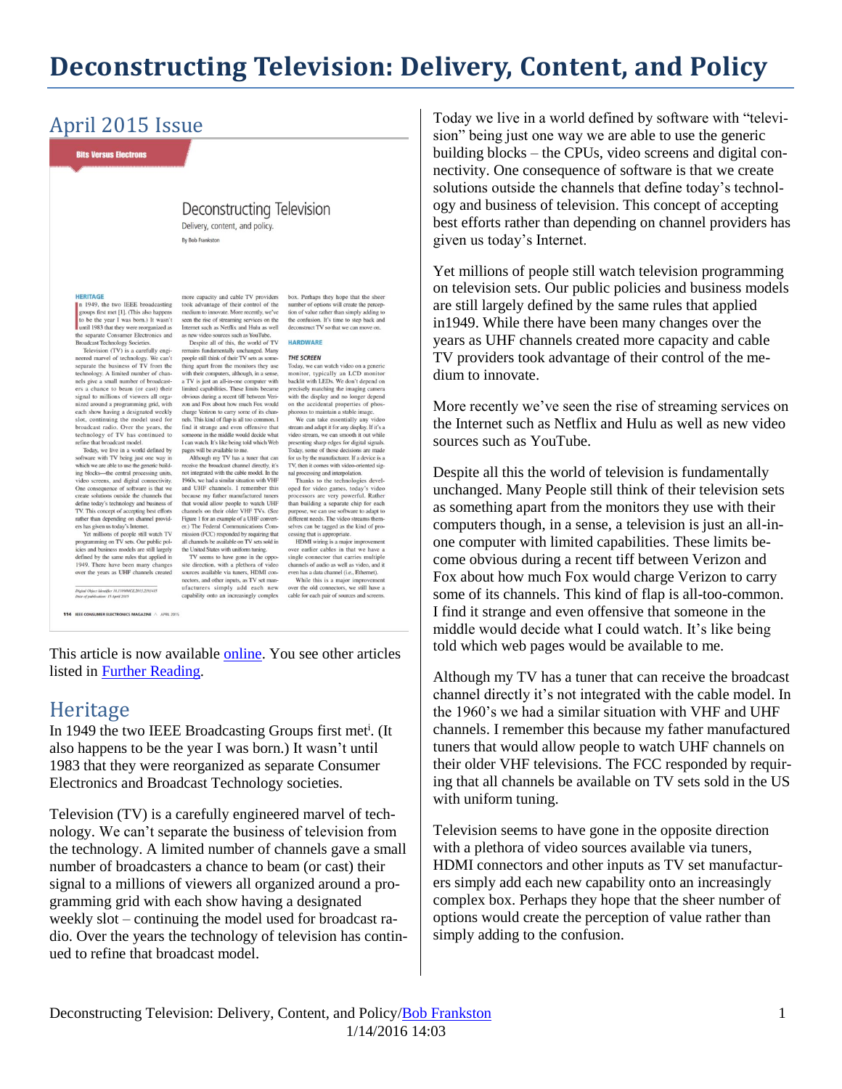# **Deconstructing Television: Delivery, Content, and Policy**

# April 2015 Issue

**Bits Versus Electrons** 

#### Deconstructing Television

Delivery, content, and policy. By Bob Frankston

#### **HERITAGE**

**HERITAGE**<br> **n** 1949, the two IEEE broadcasting<br>
groups first met [1]. (This also happens<br>
to be the year I was born.) It wasn't<br>
until 1983 that they were reorganized as<br>
the separate Consumer Electronics and **Broadcast Technology Societies** 

Broadcast Technology Societies.<br>
The Technology Societies and Technology We can't separate the business of TV from the steading separate the business of TV from the technology. A limited number of broadcast<br>
ers as small nized around a programming grid, with each show having a designat ed weekly each show having a designated weekly<br>slot, continuing the model used for<br>broadcast radio. Over the years, the<br>technology of TV has continued to<br>refine that broadcast model.<br>Today, we live in a world defined by<br>software wit

ing blocks--- the central processing units, video screens, and digital connectivity.<br>
One consequence of software is that we<br>
create solutions outside the channels that create solutions outside the channels that<br>define today's technology and business of<br>TV. This concept of accepting best efforts<br>rather than depending on channel provid-<br>ers has given us today's Internet.<br>Yet millions of pe

programming on TV sets. Our public policies and buy iness models are still largely defined by the same rules that applied in 1949. There have been many chan<br>over the years as UHF channels crea

.<br>Digital Object Identifier 10.1109/MCE.2015.2393415<br>Date of publication: 15 April 2015

114 IEEE CONSUMER ELECTRONICS MAGAZINE A APRIL 2015

more capacity and cable TV providers<br>sook advantage of their control of the more capacity and cable 1 v providers<br>took advantage of their control of the<br>medium to innovate. More recently, we've<br>seen the rise of streaming services on the<br>Internet such as Netflix and Hulu as well as new video sources such as YouTube Despite all of this, the world of TV **HARDWARE** 

Despite all of this, the world of TV<br>remains fundamentally unchanged. Many<br>people still think of their TV sets as some-<br>thing apart from the monitors they use<br>with their computers, although, in a sense,<br>a TV is just an all obvious during a recent tiff between Verizon and Fox about how much Fox would charge Verizon to carry some of its channels. This kind of flap is all too common. I nels. This kind of flap is all too common. I<br>find it strange and even offensive that<br>someone in the middle would decide what<br>I can watch. It's like being told which Web<br>pages will be available to me.<br>Although my TV has a t

receive the broadcast channel directly, it's<br>not integrated with the cable model. In the 1960s, we had a similar situation with VHF and UHF channels. I remember this my father manufactured tur because my ranner manufactured tuners<br>that would allow people to watch UHF<br>channels on their older VHF TVs. (See<br>Figure 1 for an example of a UHF convert-<br>er.) The Federal Communications Commission (FCC) responded by requiring that<br>all channels be available on TV sets sold in the United States with uniform tuning.

TV seems to have gone in the oppo-IV seams to have gone in us opposed<br>site direction, with a plethora of video<br>sources available via tuners, HDMI con-<br>nectors, and other inputs, as TV set man-<br>ufacturers simply add each new capability onto an increasingly complex

box. Perhaps they hope that the sheer<br>number of options will create the percep-<br>tion of value rather than simply adding to<br>the confusion. It's time to step back and<br>deconstruct TV so that we can move on.

#### THE SCREEN

The SCREEN<br>Today, we can watch video on a generic<br>monitor, typically an LCD monitor<br>backlit with LEDs. We don't depend on precisely matching the imaging camer with the display and no longer depend on the accidental properties of phosphorous to maintain a stable image

We can take essentially any video We can take essentially any video<br>stream and adapt it for any display. If it's a<br>video stream, we can smooth it out while<br>presenting sharp edges for digital signals.<br>Today, some of those decisions are made<br>for us by the ma nal processing and interpolation.

Thanks to the technologies devel-Inanks to the technologies devel-<br>oped for video games, today's video<br>processors are very powerful. Rather<br>than building a separate chip for each<br>purpose, we can use software to adapt to<br>different needs. The video streams

ing that is appropriate cess HDMI wiring is a major improvement over earlier cables in that we have a single connector that carries multiple nnels of audio as well as video, and it channels or aimen as with as video, and it<br>even has a data channel (i.e., Ethernet).<br>While this is a major improvement<br>over the old connectors, we still have a<br>cable for each pair of sources and screens.

This article is now available [online.](http://ieeexplore.ieee.org/stamp/stamp.jsp?tp=&arnumber=7084766) You see other articles listed in [Further Reading.](http://rmf.vc/FurtherReading)

#### **Heritage**

In 1949 the two IEEE Broadcasting Groups first met<sup>i</sup>. (It also happens to be the year I was born.) It wasn't until 1983 that they were reorganized as separate Consumer Electronics and Broadcast Technology societies.

Television (TV) is a carefully engineered marvel of technology. We can't separate the business of television from the technology. A limited number of channels gave a small number of broadcasters a chance to beam (or cast) their signal to a millions of viewers all organized around a programming grid with each show having a designated weekly slot – continuing the model used for broadcast radio. Over the years the technology of television has continued to refine that broadcast model.

Today we live in a world defined by software with "television" being just one way we are able to use the generic building blocks – the CPUs, video screens and digital connectivity. One consequence of software is that we create solutions outside the channels that define today's technology and business of television. This concept of accepting best efforts rather than depending on channel providers has given us today's Internet.

Yet millions of people still watch television programming on television sets. Our public policies and business models are still largely defined by the same rules that applied in1949. While there have been many changes over the years as UHF channels created more capacity and cable TV providers took advantage of their control of the medium to innovate.

More recently we've seen the rise of streaming services on the Internet such as Netflix and Hulu as well as new video sources such as YouTube.

Despite all this the world of television is fundamentally unchanged. Many People still think of their television sets as something apart from the monitors they use with their computers though, in a sense, a television is just an all-inone computer with limited capabilities. These limits become obvious during a recent tiff between Verizon and Fox about how much Fox would charge Verizon to carry some of its channels. This kind of flap is all-too-common. I find it strange and even offensive that someone in the middle would decide what I could watch. It's like being told which web pages would be available to me.

Although my TV has a tuner that can receive the broadcast channel directly it's not integrated with the cable model. In the 1960's we had a similar situation with VHF and UHF channels. I remember this because my father manufactured tuners that would allow people to watch UHF channels on their older VHF televisions. The FCC responded by requiring that all channels be available on TV sets sold in the US with uniform tuning.

Television seems to have gone in the opposite direction with a plethora of video sources available via tuners, HDMI connectors and other inputs as TV set manufacturers simply add each new capability onto an increasingly complex box. Perhaps they hope that the sheer number of options would create the perception of value rather than simply adding to the confusion.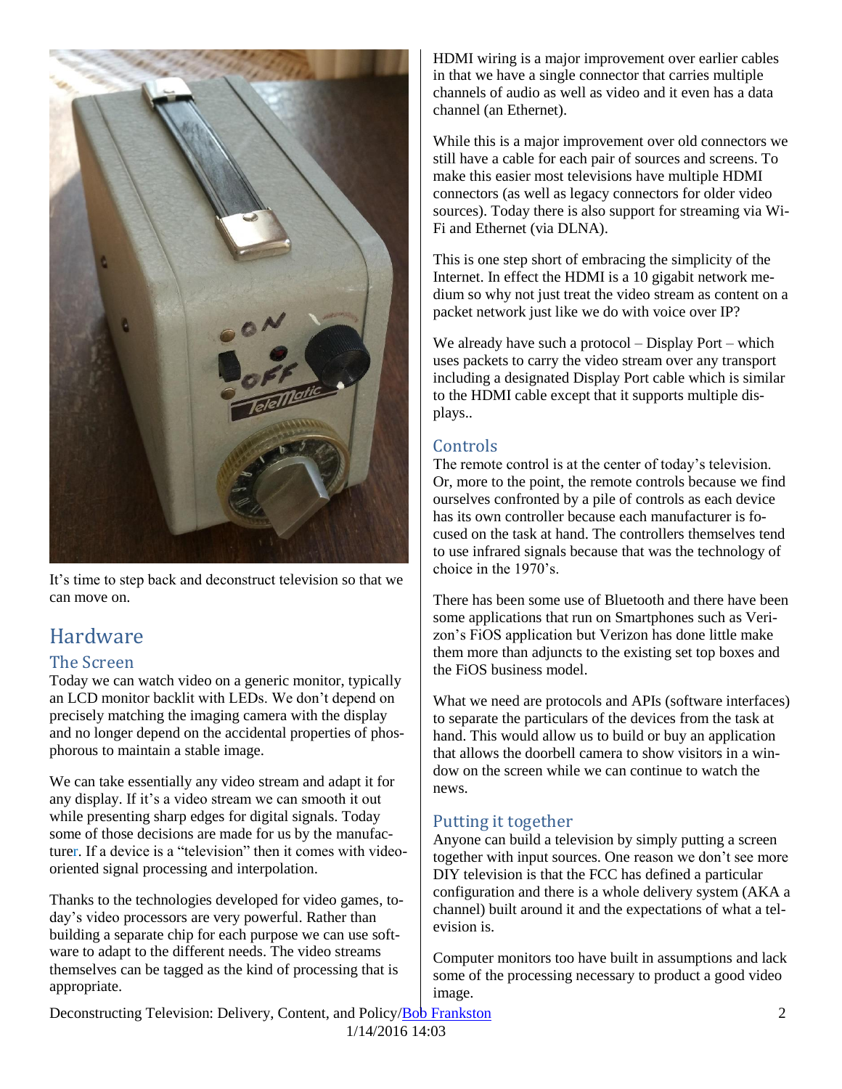

It's time to step back and deconstruct television so that we can move on.

# Hardware

#### The Screen

Today we can watch video on a generic monitor, typically an LCD monitor backlit with LEDs. We don't depend on precisely matching the imaging camera with the display and no longer depend on the accidental properties of phosphorous to maintain a stable image.

We can take essentially any video stream and adapt it for any display. If it's a video stream we can smooth it out while presenting sharp edges for digital signals. Today some of those decisions are made for us by the manufacturer. If a device is a "television" then it comes with videooriented signal processing and interpolation.

Thanks to the technologies developed for video games, today's video processors are very powerful. Rather than building a separate chip for each purpose we can use software to adapt to the different needs. The video streams themselves can be tagged as the kind of processing that is appropriate.

HDMI wiring is a major improvement over earlier cables in that we have a single connector that carries multiple channels of audio as well as video and it even has a data channel (an Ethernet).

While this is a major improvement over old connectors we still have a cable for each pair of sources and screens. To make this easier most televisions have multiple HDMI connectors (as well as legacy connectors for older video sources). Today there is also support for streaming via Wi-Fi and Ethernet (via DLNA).

This is one step short of embracing the simplicity of the Internet. In effect the HDMI is a 10 gigabit network medium so why not just treat the video stream as content on a packet network just like we do with voice over IP?

We already have such a protocol – Display Port – which uses packets to carry the video stream over any transport including a designated Display Port cable which is similar to the HDMI cable except that it supports multiple displays..

#### **Controls**

The remote control is at the center of today's television. Or, more to the point, the remote controls because we find ourselves confronted by a pile of controls as each device has its own controller because each manufacturer is focused on the task at hand. The controllers themselves tend to use infrared signals because that was the technology of choice in the 1970's.

There has been some use of Bluetooth and there have been some applications that run on Smartphones such as Verizon's FiOS application but Verizon has done little make them more than adjuncts to the existing set top boxes and the FiOS business model.

What we need are protocols and APIs (software interfaces) to separate the particulars of the devices from the task at hand. This would allow us to build or buy an application that allows the doorbell camera to show visitors in a window on the screen while we can continue to watch the news.

#### Putting it together

Anyone can build a television by simply putting a screen together with input sources. One reason we don't see more DIY television is that the FCC has defined a particular configuration and there is a whole delivery system (AKA a channel) built around it and the expectations of what a television is.

Computer monitors too have built in assumptions and lack some of the processing necessary to product a good video image.

Deconstructing Television: Delivery, Content, and Policy[/Bob Frankston](http://frankston.com/public) 2 1/14/2016 14:03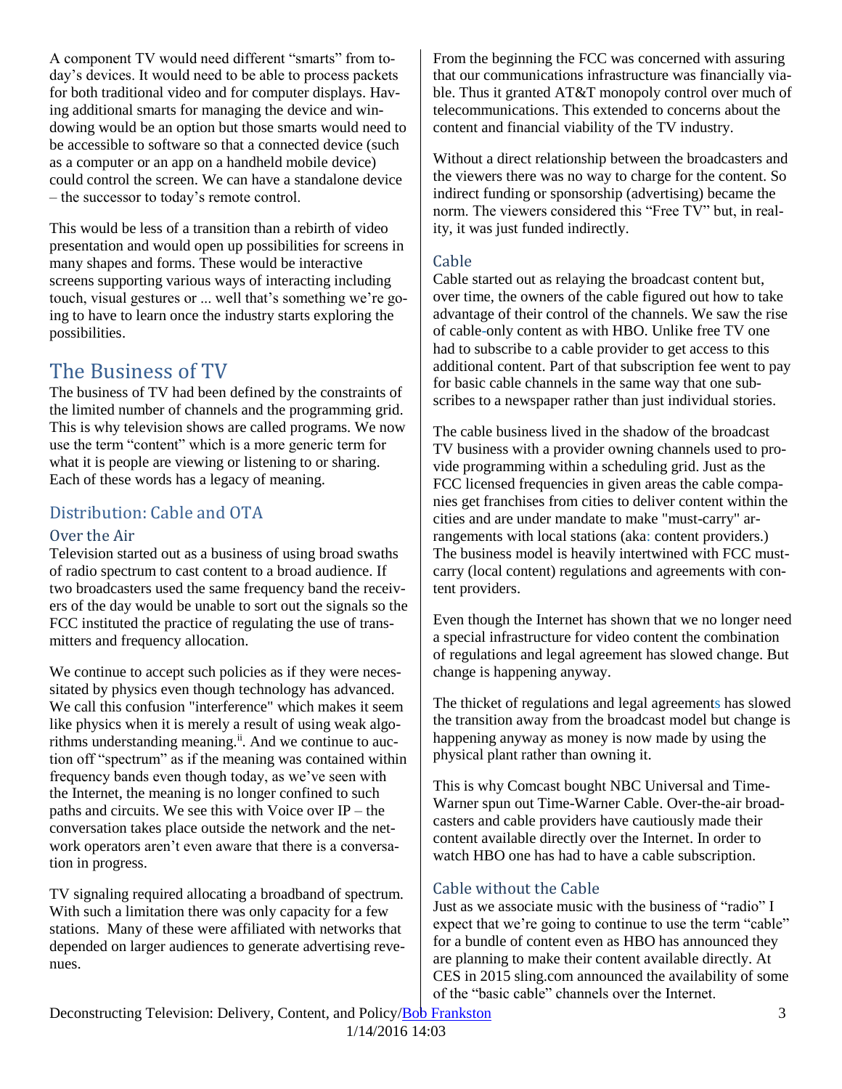A component TV would need different "smarts" from today's devices. It would need to be able to process packets for both traditional video and for computer displays. Having additional smarts for managing the device and windowing would be an option but those smarts would need to be accessible to software so that a connected device (such as a computer or an app on a handheld mobile device) could control the screen. We can have a standalone device – the successor to today's remote control.

This would be less of a transition than a rebirth of video presentation and would open up possibilities for screens in many shapes and forms. These would be interactive screens supporting various ways of interacting including touch, visual gestures or ... well that's something we're going to have to learn once the industry starts exploring the possibilities.

# The Business of TV

The business of TV had been defined by the constraints of the limited number of channels and the programming grid. This is why television shows are called programs. We now use the term "content" which is a more generic term for what it is people are viewing or listening to or sharing. Each of these words has a legacy of meaning.

### Distribution: Cable and OTA

#### Over the Air

Television started out as a business of using broad swaths of radio spectrum to cast content to a broad audience. If two broadcasters used the same frequency band the receivers of the day would be unable to sort out the signals so the FCC instituted the practice of regulating the use of transmitters and frequency allocation.

We continue to accept such policies as if they were necessitated by physics even though technology has advanced. We call this confusion "interference" which makes it seem like physics when it is merely a result of using weak algorithms understanding meaning.<sup>ii</sup>. And we continue to auction off "spectrum" as if the meaning was contained within frequency bands even though today, as we've seen with the Internet, the meaning is no longer confined to such paths and circuits. We see this with Voice over IP – the conversation takes place outside the network and the network operators aren't even aware that there is a conversation in progress.

TV signaling required allocating a broadband of spectrum. With such a limitation there was only capacity for a few stations. Many of these were affiliated with networks that depended on larger audiences to generate advertising revenues.

From the beginning the FCC was concerned with assuring that our communications infrastructure was financially viable. Thus it granted AT&T monopoly control over much of telecommunications. This extended to concerns about the content and financial viability of the TV industry.

Without a direct relationship between the broadcasters and the viewers there was no way to charge for the content. So indirect funding or sponsorship (advertising) became the norm. The viewers considered this "Free TV" but, in reality, it was just funded indirectly.

#### Cable

Cable started out as relaying the broadcast content but, over time, the owners of the cable figured out how to take advantage of their control of the channels. We saw the rise of cable-only content as with HBO. Unlike free TV one had to subscribe to a cable provider to get access to this additional content. Part of that subscription fee went to pay for basic cable channels in the same way that one subscribes to a newspaper rather than just individual stories.

The cable business lived in the shadow of the broadcast TV business with a provider owning channels used to provide programming within a scheduling grid. Just as the FCC licensed frequencies in given areas the cable companies get franchises from cities to deliver content within the cities and are under mandate to make "must-carry" arrangements with local stations (aka: content providers.) The business model is heavily intertwined with FCC mustcarry (local content) regulations and agreements with content providers.

Even though the Internet has shown that we no longer need a special infrastructure for video content the combination of regulations and legal agreement has slowed change. But change is happening anyway.

The thicket of regulations and legal agreements has slowed the transition away from the broadcast model but change is happening anyway as money is now made by using the physical plant rather than owning it.

This is why Comcast bought NBC Universal and Time-Warner spun out Time-Warner Cable. Over-the-air broadcasters and cable providers have cautiously made their content available directly over the Internet. In order to watch HBO one has had to have a cable subscription.

### Cable without the Cable

Just as we associate music with the business of "radio" I expect that we're going to continue to use the term "cable" for a bundle of content even as HBO has announced they are planning to make their content available directly. At CES in 2015 sling.com announced the availability of some of the "basic cable" channels over the Internet.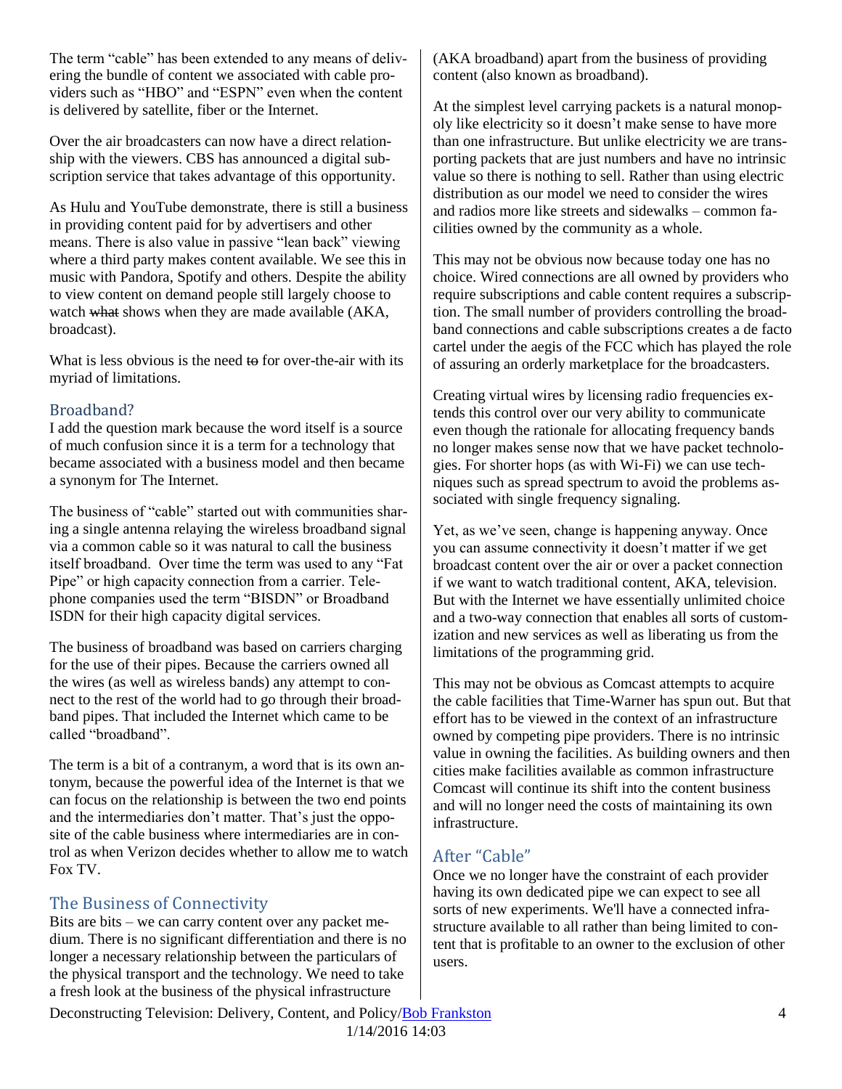The term "cable" has been extended to any means of delivering the bundle of content we associated with cable providers such as "HBO" and "ESPN" even when the content is delivered by satellite, fiber or the Internet.

Over the air broadcasters can now have a direct relationship with the viewers. CBS has announced a digital subscription service that takes advantage of this opportunity.

As Hulu and YouTube demonstrate, there is still a business in providing content paid for by advertisers and other means. There is also value in passive "lean back" viewing where a third party makes content available. We see this in music with Pandora, Spotify and others. Despite the ability to view content on demand people still largely choose to watch what shows when they are made available (AKA, broadcast).

What is less obvious is the need to for over-the-air with its myriad of limitations.

#### Broadband?

I add the question mark because the word itself is a source of much confusion since it is a term for a technology that became associated with a business model and then became a synonym for The Internet.

The business of "cable" started out with communities sharing a single antenna relaying the wireless broadband signal via a common cable so it was natural to call the business itself broadband. Over time the term was used to any "Fat Pipe" or high capacity connection from a carrier. Telephone companies used the term "BISDN" or Broadband ISDN for their high capacity digital services.

The business of broadband was based on carriers charging for the use of their pipes. Because the carriers owned all the wires (as well as wireless bands) any attempt to connect to the rest of the world had to go through their broadband pipes. That included the Internet which came to be called "broadband".

The term is a bit of a contranym, a word that is its own antonym, because the powerful idea of the Internet is that we can focus on the relationship is between the two end points and the intermediaries don't matter. That's just the opposite of the cable business where intermediaries are in control as when Verizon decides whether to allow me to watch Fox TV.

#### The Business of Connectivity

Bits are bits – we can carry content over any packet medium. There is no significant differentiation and there is no longer a necessary relationship between the particulars of the physical transport and the technology. We need to take a fresh look at the business of the physical infrastructure

(AKA broadband) apart from the business of providing content (also known as broadband).

At the simplest level carrying packets is a natural monopoly like electricity so it doesn't make sense to have more than one infrastructure. But unlike electricity we are transporting packets that are just numbers and have no intrinsic value so there is nothing to sell. Rather than using electric distribution as our model we need to consider the wires and radios more like streets and sidewalks – common facilities owned by the community as a whole.

This may not be obvious now because today one has no choice. Wired connections are all owned by providers who require subscriptions and cable content requires a subscription. The small number of providers controlling the broadband connections and cable subscriptions creates a de facto cartel under the aegis of the FCC which has played the role of assuring an orderly marketplace for the broadcasters.

Creating virtual wires by licensing radio frequencies extends this control over our very ability to communicate even though the rationale for allocating frequency bands no longer makes sense now that we have packet technologies. For shorter hops (as with Wi-Fi) we can use techniques such as spread spectrum to avoid the problems associated with single frequency signaling.

Yet, as we've seen, change is happening anyway. Once you can assume connectivity it doesn't matter if we get broadcast content over the air or over a packet connection if we want to watch traditional content, AKA, television. But with the Internet we have essentially unlimited choice and a two-way connection that enables all sorts of customization and new services as well as liberating us from the limitations of the programming grid.

This may not be obvious as Comcast attempts to acquire the cable facilities that Time-Warner has spun out. But that effort has to be viewed in the context of an infrastructure owned by competing pipe providers. There is no intrinsic value in owning the facilities. As building owners and then cities make facilities available as common infrastructure Comcast will continue its shift into the content business and will no longer need the costs of maintaining its own infrastructure.

### After "Cable"

Once we no longer have the constraint of each provider having its own dedicated pipe we can expect to see all sorts of new experiments. We'll have a connected infrastructure available to all rather than being limited to content that is profitable to an owner to the exclusion of other users.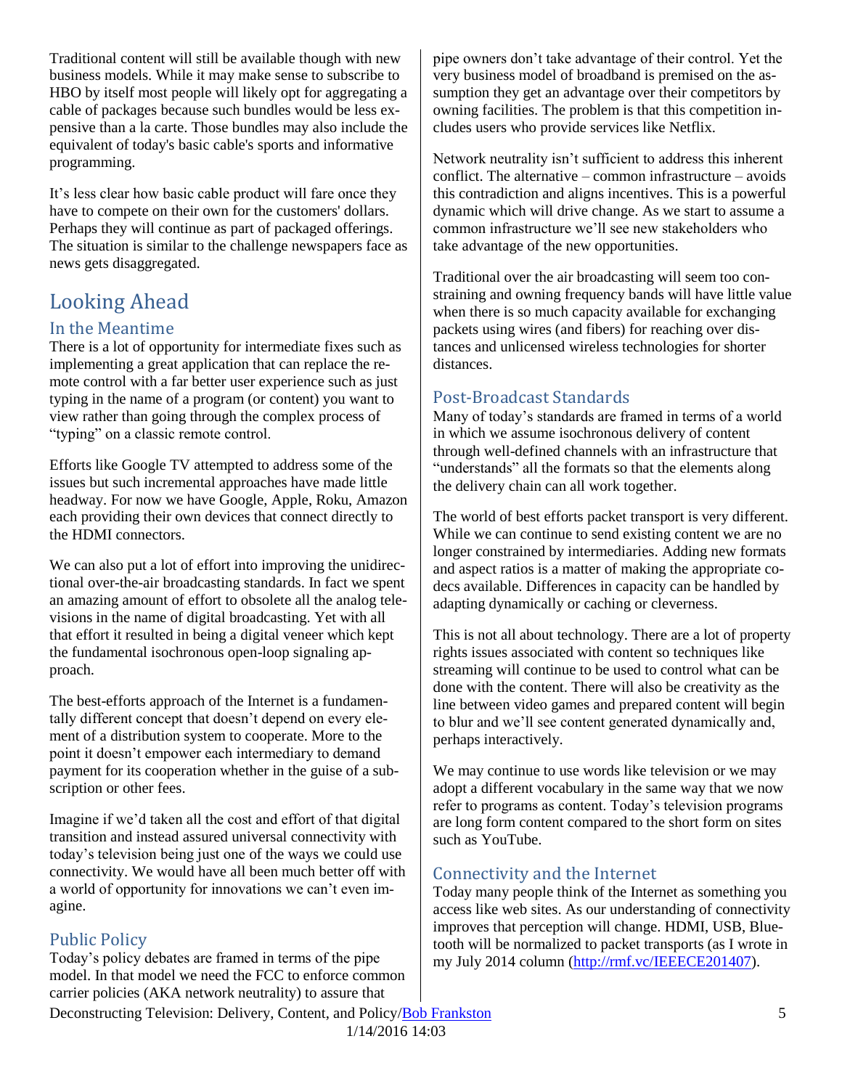Traditional content will still be available though with new business models. While it may make sense to subscribe to HBO by itself most people will likely opt for aggregating a cable of packages because such bundles would be less expensive than a la carte. Those bundles may also include the equivalent of today's basic cable's sports and informative programming.

It's less clear how basic cable product will fare once they have to compete on their own for the customers' dollars. Perhaps they will continue as part of packaged offerings. The situation is similar to the challenge newspapers face as news gets disaggregated.

# Looking Ahead

#### In the Meantime

There is a lot of opportunity for intermediate fixes such as implementing a great application that can replace the remote control with a far better user experience such as just typing in the name of a program (or content) you want to view rather than going through the complex process of "typing" on a classic remote control.

Efforts like Google TV attempted to address some of the issues but such incremental approaches have made little headway. For now we have Google, Apple, Roku, Amazon each providing their own devices that connect directly to the HDMI connectors.

We can also put a lot of effort into improving the unidirectional over-the-air broadcasting standards. In fact we spent an amazing amount of effort to obsolete all the analog televisions in the name of digital broadcasting. Yet with all that effort it resulted in being a digital veneer which kept the fundamental isochronous open-loop signaling approach.

The best-efforts approach of the Internet is a fundamentally different concept that doesn't depend on every element of a distribution system to cooperate. More to the point it doesn't empower each intermediary to demand payment for its cooperation whether in the guise of a subscription or other fees.

Imagine if we'd taken all the cost and effort of that digital transition and instead assured universal connectivity with today's television being just one of the ways we could use connectivity. We would have all been much better off with a world of opportunity for innovations we can't even imagine.

#### Public Policy

Today's policy debates are framed in terms of the pipe model. In that model we need the FCC to enforce common carrier policies (AKA network neutrality) to assure that

pipe owners don't take advantage of their control. Yet the very business model of broadband is premised on the assumption they get an advantage over their competitors by owning facilities. The problem is that this competition includes users who provide services like Netflix.

Network neutrality isn't sufficient to address this inherent conflict. The alternative – common infrastructure – avoids this contradiction and aligns incentives. This is a powerful dynamic which will drive change. As we start to assume a common infrastructure we'll see new stakeholders who take advantage of the new opportunities.

Traditional over the air broadcasting will seem too constraining and owning frequency bands will have little value when there is so much capacity available for exchanging packets using wires (and fibers) for reaching over distances and unlicensed wireless technologies for shorter distances.

#### Post-Broadcast Standards

Many of today's standards are framed in terms of a world in which we assume isochronous delivery of content through well-defined channels with an infrastructure that "understands" all the formats so that the elements along the delivery chain can all work together.

The world of best efforts packet transport is very different. While we can continue to send existing content we are no longer constrained by intermediaries. Adding new formats and aspect ratios is a matter of making the appropriate codecs available. Differences in capacity can be handled by adapting dynamically or caching or cleverness.

This is not all about technology. There are a lot of property rights issues associated with content so techniques like streaming will continue to be used to control what can be done with the content. There will also be creativity as the line between video games and prepared content will begin to blur and we'll see content generated dynamically and, perhaps interactively.

We may continue to use words like television or we may adopt a different vocabulary in the same way that we now refer to programs as content. Today's television programs are long form content compared to the short form on sites such as YouTube.

#### Connectivity and the Internet

Today many people think of the Internet as something you access like web sites. As our understanding of connectivity improves that perception will change. HDMI, USB, Bluetooth will be normalized to packet transports (as I wrote in my July 2014 column [\(http://rmf.vc/IEEECE201407\)](http://rmf.vc/IEEECE201407).